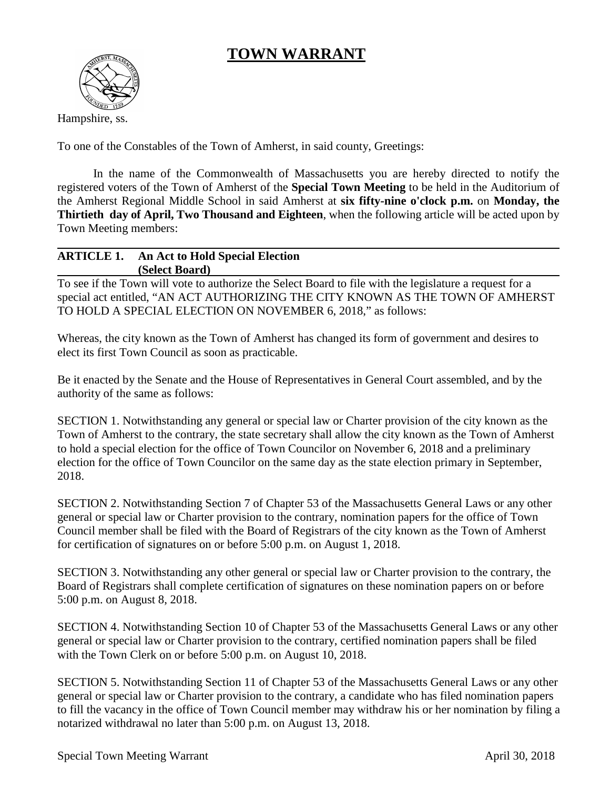## **TOWN WARRANT**



Hampshire, ss.

To one of the Constables of the Town of Amherst, in said county, Greetings:

In the name of the Commonwealth of Massachusetts you are hereby directed to notify the registered voters of the Town of Amherst of the **Special Town Meeting** to be held in the Auditorium of the Amherst Regional Middle School in said Amherst at **six fifty-nine o'clock p.m.** on **Monday, the Thirtieth day of April, Two Thousand and Eighteen**, when the following article will be acted upon by Town Meeting members:

## **ARTICLE 1. An Act to Hold Special Election (Select Board)**

To see if the Town will vote to authorize the Select Board to file with the legislature a request for a special act entitled, "AN ACT AUTHORIZING THE CITY KNOWN AS THE TOWN OF AMHERST TO HOLD A SPECIAL ELECTION ON NOVEMBER 6, 2018," as follows:

Whereas, the city known as the Town of Amherst has changed its form of government and desires to elect its first Town Council as soon as practicable.

Be it enacted by the Senate and the House of Representatives in General Court assembled, and by the authority of the same as follows:

SECTION 1. Notwithstanding any general or special law or Charter provision of the city known as the Town of Amherst to the contrary, the state secretary shall allow the city known as the Town of Amherst to hold a special election for the office of Town Councilor on November 6, 2018 and a preliminary election for the office of Town Councilor on the same day as the state election primary in September, 2018.

SECTION 2. Notwithstanding Section 7 of Chapter 53 of the Massachusetts General Laws or any other general or special law or Charter provision to the contrary, nomination papers for the office of Town Council member shall be filed with the Board of Registrars of the city known as the Town of Amherst for certification of signatures on or before 5:00 p.m. on August 1, 2018.

SECTION 3. Notwithstanding any other general or special law or Charter provision to the contrary, the Board of Registrars shall complete certification of signatures on these nomination papers on or before 5:00 p.m. on August 8, 2018.

SECTION 4. Notwithstanding Section 10 of Chapter 53 of the Massachusetts General Laws or any other general or special law or Charter provision to the contrary, certified nomination papers shall be filed with the Town Clerk on or before 5:00 p.m. on August 10, 2018.

SECTION 5. Notwithstanding Section 11 of Chapter 53 of the Massachusetts General Laws or any other general or special law or Charter provision to the contrary, a candidate who has filed nomination papers to fill the vacancy in the office of Town Council member may withdraw his or her nomination by filing a notarized withdrawal no later than 5:00 p.m. on August 13, 2018.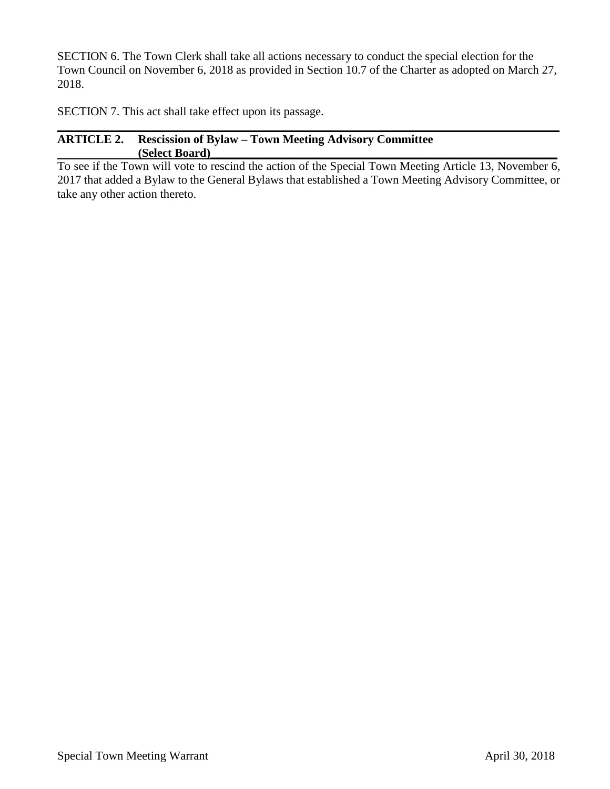SECTION 6. The Town Clerk shall take all actions necessary to conduct the special election for the Town Council on November 6, 2018 as provided in Section 10.7 of the Charter as adopted on March 27, 2018.

SECTION 7. This act shall take effect upon its passage.

## **ARTICLE 2. Rescission of Bylaw – Town Meeting Advisory Committee (Select Board)\_\_\_\_\_\_\_\_\_\_\_\_\_\_\_\_\_\_\_\_\_\_\_\_\_\_\_\_\_\_\_\_\_\_\_\_\_\_\_\_\_\_\_\_\_\_\_\_\_\_\_\_\_\_\_\_\_\_**

To see if the Town will vote to rescind the action of the Special Town Meeting Article 13, November 6, 2017 that added a Bylaw to the General Bylaws that established a Town Meeting Advisory Committee, or take any other action thereto.